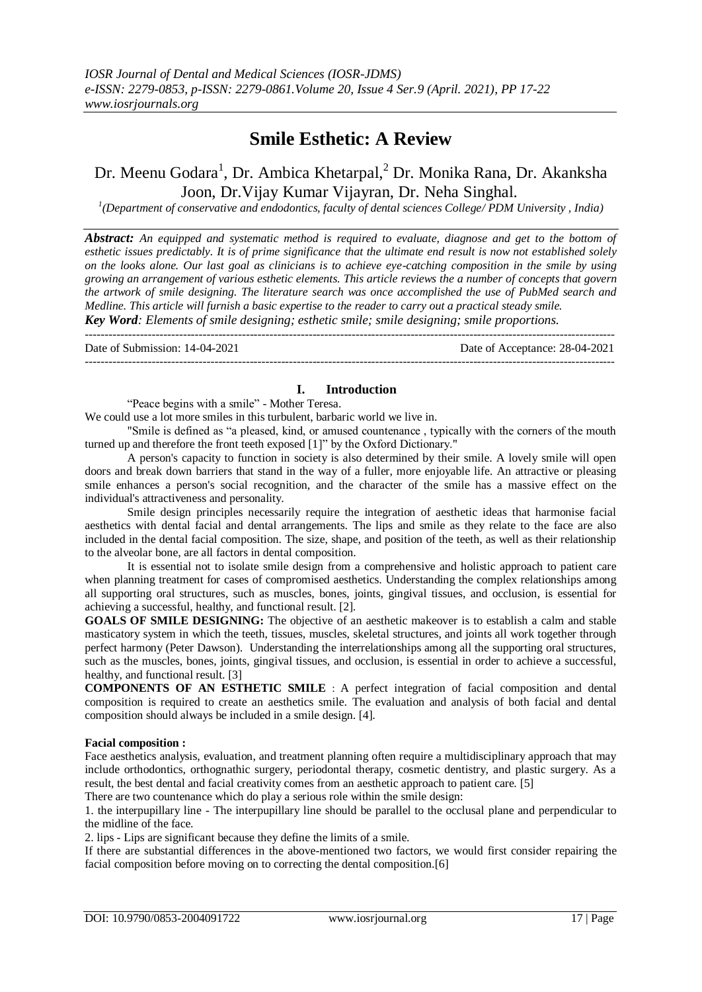# **Smile Esthetic: A Review**

# Dr. Meenu Godara<sup>1</sup>, Dr. Ambica Khetarpal,<sup>2</sup> Dr. Monika Rana, Dr. Akanksha Joon, Dr.Vijay Kumar Vijayran, Dr. Neha Singhal.

<sup>1</sup>(Department of conservative and endodontics, faculty of dental sciences College/ PDM University, India)

*Abstract: An equipped and systematic method is required to evaluate, diagnose and get to the bottom of esthetic issues predictably. It is of prime significance that the ultimate end result is now not established solely on the looks alone. Our last goal as clinicians is to achieve eye-catching composition in the smile by using growing an arrangement of various esthetic elements. This article reviews the a number of concepts that govern the artwork of smile designing. The literature search was once accomplished the use of PubMed search and Medline. This article will furnish a basic expertise to the reader to carry out a practical steady smile.*

*Key Word: Elements of smile designing; esthetic smile; smile designing; smile proportions.*  $-1\leq i\leq n-1\leq n-1\leq n-1\leq n-1\leq n-1\leq n-1\leq n-1\leq n-1\leq n-1\leq n-1\leq n-1\leq n-1\leq n-1\leq n-1\leq n-1\leq n-1\leq n-1\leq n-1\leq n-1\leq n-1\leq n-1\leq n-1\leq n-1\leq n-1\leq n-1\leq n-1\leq n-1\leq n-1\leq n-1\leq n-1\leq n-1\leq n-1\leq n-1\leq n-1\leq n-1\leq n$ 

Date of Submission: 14-04-2021 Date of Acceptance: 28-04-2021 ---------------------------------------------------------------------------------------------------------------------------------------

# **I. Introduction**

"Peace begins with a smile" - Mother Teresa.

We could use a lot more smiles in this turbulent, barbaric world we live in.

"Smile is defined as "a pleased, kind, or amused countenance , typically with the corners of the mouth turned up and therefore the front teeth exposed [1]" by the Oxford Dictionary."

A person's capacity to function in society is also determined by their smile. A lovely smile will open doors and break down barriers that stand in the way of a fuller, more enjoyable life. An attractive or pleasing smile enhances a person's social recognition, and the character of the smile has a massive effect on the individual's attractiveness and personality.

Smile design principles necessarily require the integration of aesthetic ideas that harmonise facial aesthetics with dental facial and dental arrangements. The lips and smile as they relate to the face are also included in the dental facial composition. The size, shape, and position of the teeth, as well as their relationship to the alveolar bone, are all factors in dental composition.

It is essential not to isolate smile design from a comprehensive and holistic approach to patient care when planning treatment for cases of compromised aesthetics. Understanding the complex relationships among all supporting oral structures, such as muscles, bones, joints, gingival tissues, and occlusion, is essential for achieving a successful, healthy, and functional result. [2].

**GOALS OF SMILE DESIGNING:** The objective of an aesthetic makeover is to establish a calm and stable masticatory system in which the teeth, tissues, muscles, skeletal structures, and joints all work together through perfect harmony (Peter Dawson). Understanding the interrelationships among all the supporting oral structures, such as the muscles, bones, joints, gingival tissues, and occlusion, is essential in order to achieve a successful, healthy, and functional result. [3]

**COMPONENTS OF AN ESTHETIC SMILE** : A perfect integration of facial composition and dental composition is required to create an aesthetics smile. The evaluation and analysis of both facial and dental composition should always be included in a smile design. [4].

#### **Facial composition :**

Face aesthetics analysis, evaluation, and treatment planning often require a multidisciplinary approach that may include orthodontics, orthognathic surgery, periodontal therapy, cosmetic dentistry, and plastic surgery. As a result, the best dental and facial creativity comes from an aesthetic approach to patient care. [5]

There are two countenance which do play a serious role within the smile design:

1. the interpupillary line - The interpupillary line should be parallel to the occlusal plane and perpendicular to the midline of the face.

2. lips - Lips are significant because they define the limits of a smile.

If there are substantial differences in the above-mentioned two factors, we would first consider repairing the facial composition before moving on to correcting the dental composition.[6]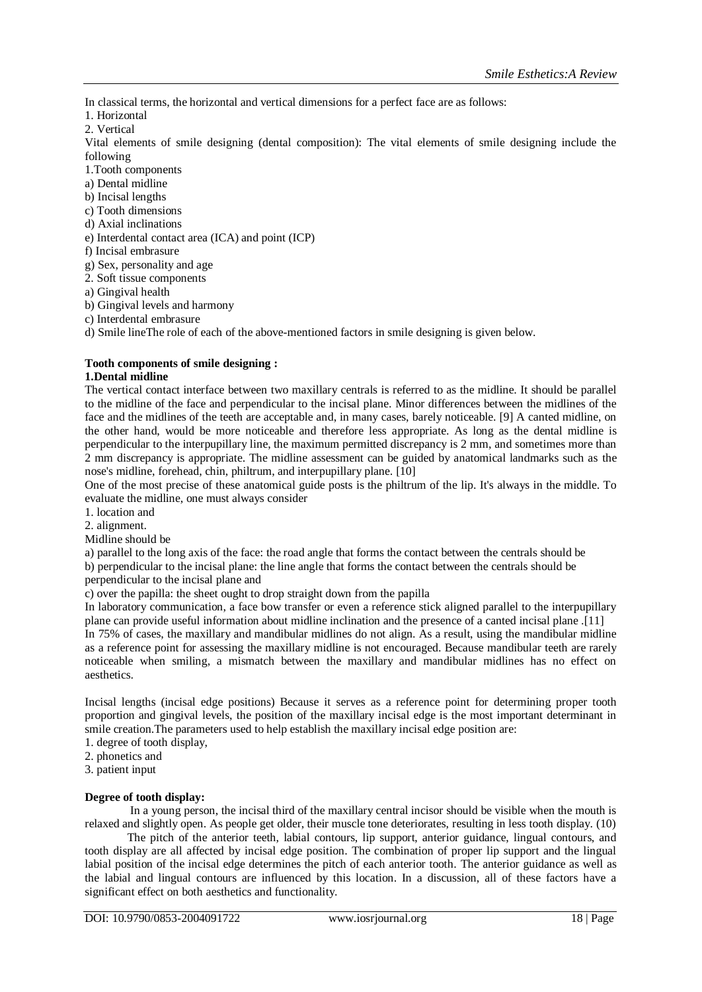In classical terms, the horizontal and vertical dimensions for a perfect face are as follows:

1. Horizontal

2. Vertical

Vital elements of smile designing (dental composition): The vital elements of smile designing include the following

1.Tooth components

a) Dental midline

b) Incisal lengths

c) Tooth dimensions

d) Axial inclinations

e) Interdental contact area (ICA) and point (ICP)

f) Incisal embrasure

g) Sex, personality and age

2. Soft tissue components

a) Gingival health

b) Gingival levels and harmony

c) Interdental embrasure

d) Smile lineThe role of each of the above-mentioned factors in smile designing is given below.

# **Tooth components of smile designing :**

### **1.Dental midline**

The vertical contact interface between two maxillary centrals is referred to as the midline. It should be parallel to the midline of the face and perpendicular to the incisal plane. Minor differences between the midlines of the face and the midlines of the teeth are acceptable and, in many cases, barely noticeable. [9] A canted midline, on the other hand, would be more noticeable and therefore less appropriate. As long as the dental midline is perpendicular to the interpupillary line, the maximum permitted discrepancy is 2 mm, and sometimes more than 2 mm discrepancy is appropriate. The midline assessment can be guided by anatomical landmarks such as the nose's midline, forehead, chin, philtrum, and interpupillary plane. [10]

One of the most precise of these anatomical guide posts is the philtrum of the lip. It's always in the middle. To evaluate the midline, one must always consider

1. location and

2. alignment.

Midline should be

a) parallel to the long axis of the face: the road angle that forms the contact between the centrals should be

b) perpendicular to the incisal plane: the line angle that forms the contact between the centrals should be

perpendicular to the incisal plane and

c) over the papilla: the sheet ought to drop straight down from the papilla

In laboratory communication, a face bow transfer or even a reference stick aligned parallel to the interpupillary plane can provide useful information about midline inclination and the presence of a canted incisal plane .[11] In 75% of cases, the maxillary and mandibular midlines do not align. As a result, using the mandibular midline as a reference point for assessing the maxillary midline is not encouraged. Because mandibular teeth are rarely noticeable when smiling, a mismatch between the maxillary and mandibular midlines has no effect on aesthetics.

Incisal lengths (incisal edge positions) Because it serves as a reference point for determining proper tooth proportion and gingival levels, the position of the maxillary incisal edge is the most important determinant in smile creation.The parameters used to help establish the maxillary incisal edge position are:

1. degree of tooth display,

2. phonetics and

3. patient input

# **Degree of tooth display:**

In a young person, the incisal third of the maxillary central incisor should be visible when the mouth is relaxed and slightly open. As people get older, their muscle tone deteriorates, resulting in less tooth display. (10)

The pitch of the anterior teeth, labial contours, lip support, anterior guidance, lingual contours, and tooth display are all affected by incisal edge position. The combination of proper lip support and the lingual labial position of the incisal edge determines the pitch of each anterior tooth. The anterior guidance as well as the labial and lingual contours are influenced by this location. In a discussion, all of these factors have a significant effect on both aesthetics and functionality.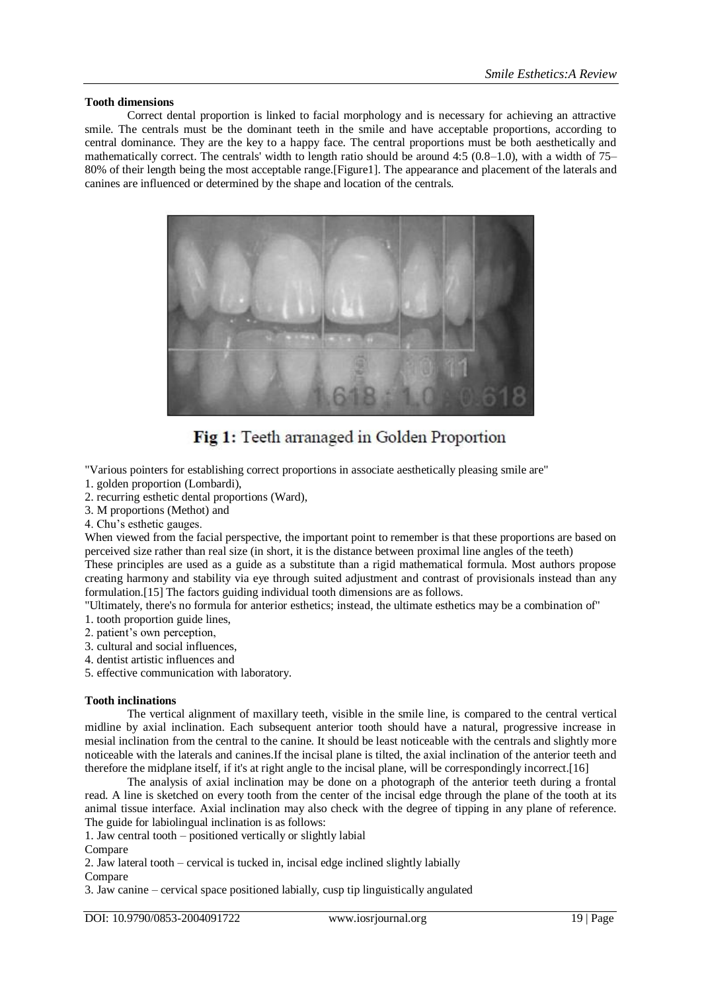#### **Tooth dimensions**

Correct dental proportion is linked to facial morphology and is necessary for achieving an attractive smile. The centrals must be the dominant teeth in the smile and have acceptable proportions, according to central dominance. They are the key to a happy face. The central proportions must be both aesthetically and mathematically correct. The centrals' width to length ratio should be around 4:5 (0.8–1.0), with a width of 75– 80% of their length being the most acceptable range.[Figure1]. The appearance and placement of the laterals and canines are influenced or determined by the shape and location of the centrals.



Fig 1: Teeth arranaged in Golden Proportion

"Various pointers for establishing correct proportions in associate aesthetically pleasing smile are"

- 1. golden proportion (Lombardi),
- 2. recurring esthetic dental proportions (Ward),
- 3. M proportions (Methot) and
- 4. Chu's esthetic gauges.

When viewed from the facial perspective, the important point to remember is that these proportions are based on perceived size rather than real size (in short, it is the distance between proximal line angles of the teeth)

These principles are used as a guide as a substitute than a rigid mathematical formula. Most authors propose creating harmony and stability via eye through suited adjustment and contrast of provisionals instead than any formulation.[15] The factors guiding individual tooth dimensions are as follows.

"Ultimately, there's no formula for anterior esthetics; instead, the ultimate esthetics may be a combination of"

- 1. tooth proportion guide lines,
- 2. patient's own perception,
- 3. cultural and social influences,
- 4. dentist artistic influences and
- 5. effective communication with laboratory.

#### **Tooth inclinations**

The vertical alignment of maxillary teeth, visible in the smile line, is compared to the central vertical midline by axial inclination. Each subsequent anterior tooth should have a natural, progressive increase in mesial inclination from the central to the canine. It should be least noticeable with the centrals and slightly more noticeable with the laterals and canines.If the incisal plane is tilted, the axial inclination of the anterior teeth and therefore the midplane itself, if it's at right angle to the incisal plane, will be correspondingly incorrect.[16]

The analysis of axial inclination may be done on a photograph of the anterior teeth during a frontal read. A line is sketched on every tooth from the center of the incisal edge through the plane of the tooth at its animal tissue interface. Axial inclination may also check with the degree of tipping in any plane of reference. The guide for labiolingual inclination is as follows:

1. Jaw central tooth – positioned vertically or slightly labial

Compare

2. Jaw lateral tooth – cervical is tucked in, incisal edge inclined slightly labially Compare

3. Jaw canine – cervical space positioned labially, cusp tip linguistically angulated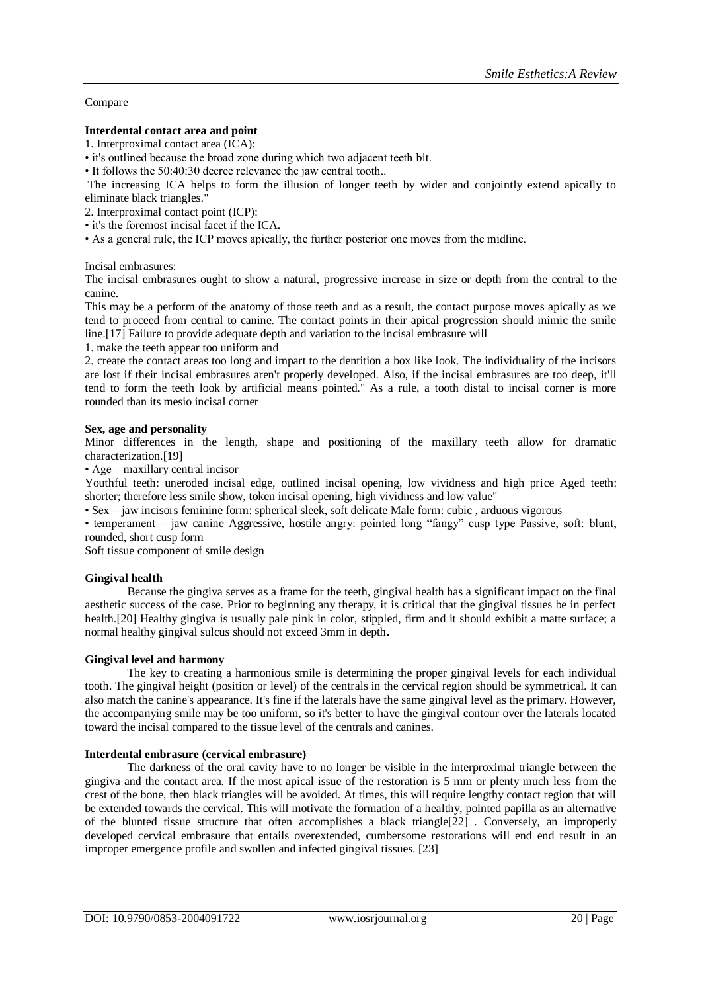#### Compare

#### **Interdental contact area and point**

1. Interproximal contact area (ICA):

• it's outlined because the broad zone during which two adjacent teeth bit.

• It follows the 50:40:30 decree relevance the jaw central tooth..

The increasing ICA helps to form the illusion of longer teeth by wider and conjointly extend apically to eliminate black triangles."

2. Interproximal contact point (ICP):

- it's the foremost incisal facet if the ICA.
- As a general rule, the ICP moves apically, the further posterior one moves from the midline.

Incisal embrasures:

The incisal embrasures ought to show a natural, progressive increase in size or depth from the central to the canine.

This may be a perform of the anatomy of those teeth and as a result, the contact purpose moves apically as we tend to proceed from central to canine. The contact points in their apical progression should mimic the smile line.[17] Failure to provide adequate depth and variation to the incisal embrasure will

1. make the teeth appear too uniform and

2. create the contact areas too long and impart to the dentition a box like look. The individuality of the incisors are lost if their incisal embrasures aren't properly developed. Also, if the incisal embrasures are too deep, it'll tend to form the teeth look by artificial means pointed." As a rule, a tooth distal to incisal corner is more rounded than its mesio incisal corner

#### **Sex, age and personality**

Minor differences in the length, shape and positioning of the maxillary teeth allow for dramatic characterization.[19]

• Age – maxillary central incisor

Youthful teeth: uneroded incisal edge, outlined incisal opening, low vividness and high price Aged teeth: shorter; therefore less smile show, token incisal opening, high vividness and low value"

• Sex – jaw incisors feminine form: spherical sleek, soft delicate Male form: cubic , arduous vigorous

• temperament – jaw canine Aggressive, hostile angry: pointed long "fangy" cusp type Passive, soft: blunt, rounded, short cusp form

Soft tissue component of smile design

#### **Gingival health**

Because the gingiva serves as a frame for the teeth, gingival health has a significant impact on the final aesthetic success of the case. Prior to beginning any therapy, it is critical that the gingival tissues be in perfect health.[20] Healthy gingiva is usually pale pink in color, stippled, firm and it should exhibit a matte surface; a normal healthy gingival sulcus should not exceed 3mm in depth**.**

#### **Gingival level and harmony**

The key to creating a harmonious smile is determining the proper gingival levels for each individual tooth. The gingival height (position or level) of the centrals in the cervical region should be symmetrical. It can also match the canine's appearance. It's fine if the laterals have the same gingival level as the primary. However, the accompanying smile may be too uniform, so it's better to have the gingival contour over the laterals located toward the incisal compared to the tissue level of the centrals and canines.

#### **Interdental embrasure (cervical embrasure)**

The darkness of the oral cavity have to no longer be visible in the interproximal triangle between the gingiva and the contact area. If the most apical issue of the restoration is 5 mm or plenty much less from the crest of the bone, then black triangles will be avoided. At times, this will require lengthy contact region that will be extended towards the cervical. This will motivate the formation of a healthy, pointed papilla as an alternative of the blunted tissue structure that often accomplishes a black triangle[22] . Conversely, an improperly developed cervical embrasure that entails overextended, cumbersome restorations will end end result in an improper emergence profile and swollen and infected gingival tissues. [23]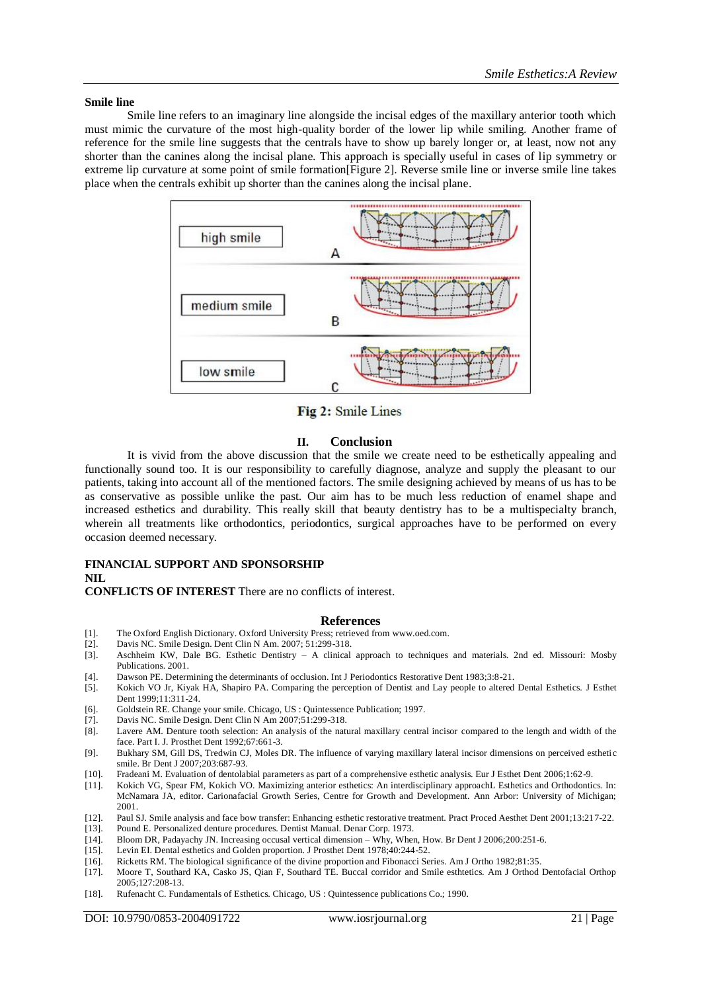#### **Smile line**

Smile line refers to an imaginary line alongside the incisal edges of the maxillary anterior tooth which must mimic the curvature of the most high-quality border of the lower lip while smiling. Another frame of reference for the smile line suggests that the centrals have to show up barely longer or, at least, now not any shorter than the canines along the incisal plane. This approach is specially useful in cases of lip symmetry or extreme lip curvature at some point of smile formation[Figure 2]. Reverse smile line or inverse smile line takes place when the centrals exhibit up shorter than the canines along the incisal plane.



Fig 2: Smile Lines

# **II. Conclusion**

It is vivid from the above discussion that the smile we create need to be esthetically appealing and functionally sound too. It is our responsibility to carefully diagnose, analyze and supply the pleasant to our patients, taking into account all of the mentioned factors. The smile designing achieved by means of us has to be as conservative as possible unlike the past. Our aim has to be much less reduction of enamel shape and increased esthetics and durability. This really skill that beauty dentistry has to be a multispecialty branch, wherein all treatments like orthodontics, periodontics, surgical approaches have to be performed on every occasion deemed necessary.

#### **FINANCIAL SUPPORT AND SPONSORSHIP NIL**

**CONFLICTS OF INTEREST** There are no conflicts of interest.

#### **References**

- [1]. The Oxford English Dictionary. Oxford University Press; retrieved from www.oed.com.
- [2]. Davis NC. Smile Design. Dent Clin N Am. 2007; 51:299-318.
- [3]. Aschheim KW, Dale BG. Esthetic Dentistry A clinical approach to techniques and materials. 2nd ed. Missouri: Mosby Publications. 2001.
- [4]. Dawson PE. Determining the determinants of occlusion. Int J Periodontics Restorative Dent 1983;3:8-21.
- [5]. Kokich VO Jr, Kiyak HA, Shapiro PA. Comparing the perception of Dentist and Lay people to altered Dental Esthetics. J Esthet Dent 1999;11:311-24.
- [6]. Goldstein RE. Change your smile. Chicago, US : Quintessence Publication; 1997.
- [7]. Davis NC. Smile Design. Dent Clin N Am 2007;51:299-318.<br>[8]. Lavere AM. Denture tooth selection: An analysis of the nat
- Lavere AM. Denture tooth selection: An analysis of the natural maxillary central incisor compared to the length and width of the face. Part I. J. Prosthet Dent 1992;67:661-3.
- [9]. Bukhary SM, Gill DS, Tredwin CJ, Moles DR. The influence of varying maxillary lateral incisor dimensions on perceived esthetic smile. Br Dent J 2007;203:687-93.
- [10]. Fradeani M. Evaluation of dentolabial parameters as part of a comprehensive esthetic analysis. Eur J Esthet Dent 2006;1:62-9.
- [11]. Kokich VG, Spear FM, Kokich VO. Maximizing anterior esthetics: An interdisciplinary approachL Esthetics and Orthodontics. In: McNamara JA, editor. Carionafacial Growth Series, Centre for Growth and Development. Ann Arbor: University of Michigan; 2001.
- [12]. Paul SJ. Smile analysis and face bow transfer: Enhancing esthetic restorative treatment. Pract Proced Aesthet Dent 2001;13:217-22.
- [13]. Pound E. Personalized denture procedures. Dentist Manual. Denar Corp. 1973.
- [14]. Bloom DR, Padayachy JN. Increasing occusal vertical dimension Why, When, How. Br Dent J 2006;200:251-6.
- [15]. Levin EI. Dental esthetics and Golden proportion. J Prosthet Dent 1978;40:244-52.
- [16]. Ricketts RM. The biological significance of the divine proportion and Fibonacci Series. Am J Ortho 1982;81:35.
- [17]. Moore T, Southard KA, Casko JS, Qian F, Southard TE. Buccal corridor and Smile esthtetics. Am J Orthod Dentofacial Orthop 2005;127:208-13.
- [18]. Rufenacht C. Fundamentals of Esthetics. Chicago, US : Quintessence publications Co.; 1990.